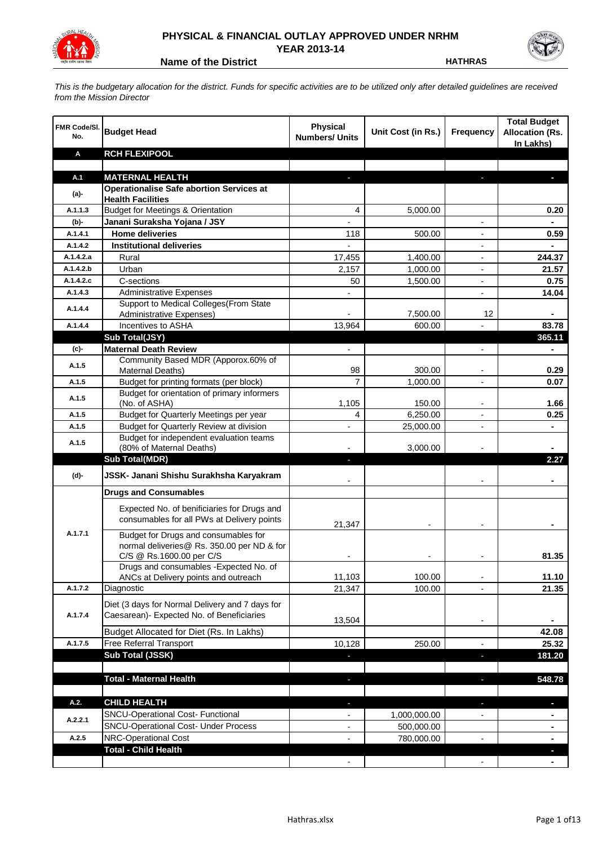

## **PHYSICAL & FINANCIAL OUTLAY APPROVED UNDER NRHM YEAR 2013-14**

**Name of the District <b>HATHRAS** 

*This is the budgetary allocation for the district. Funds for specific activities are to be utilized only after detailed guidelines are received from the Mission Director*

| <b>FMR Code/SI.</b><br>No. | <b>Budget Head</b>                                                                                             | Physical<br><b>Numbers/ Units</b> | Unit Cost (in Rs.) | <b>Frequency</b>         | <b>Total Budget</b><br><b>Allocation (Rs.</b><br>In Lakhs) |
|----------------------------|----------------------------------------------------------------------------------------------------------------|-----------------------------------|--------------------|--------------------------|------------------------------------------------------------|
| Α                          | <b>RCH FLEXIPOOL</b>                                                                                           |                                   |                    |                          |                                                            |
|                            |                                                                                                                |                                   |                    |                          |                                                            |
| A.1                        | <b>MATERNAL HEALTH</b>                                                                                         |                                   |                    |                          |                                                            |
| $(a)$ -                    | <b>Operationalise Safe abortion Services at</b><br><b>Health Facilities</b>                                    |                                   |                    |                          |                                                            |
| A.1.1.3                    | <b>Budget for Meetings &amp; Orientation</b>                                                                   | 4                                 | 5,000.00           |                          | 0.20                                                       |
| (b)-                       | Janani Suraksha Yojana / JSY                                                                                   |                                   |                    |                          |                                                            |
| A.1.4.1                    | <b>Home deliveries</b>                                                                                         | 118                               | 500.00             |                          | 0.59                                                       |
| A.1.4.2                    | <b>Institutional deliveries</b>                                                                                |                                   |                    |                          |                                                            |
| A.1.4.2.a                  | Rural                                                                                                          | 17,455                            | 1,400.00           |                          | 244.37                                                     |
| A.1.4.2.b                  | Urban                                                                                                          | 2,157                             | 1,000.00           | $\overline{\phantom{a}}$ | 21.57                                                      |
| A.1.4.2.c                  | C-sections                                                                                                     | 50                                | 1,500.00           | $\overline{\phantom{a}}$ | 0.75                                                       |
| A.1.4.3                    | <b>Administrative Expenses</b>                                                                                 |                                   |                    | $\overline{a}$           | 14.04                                                      |
| A.1.4.4                    | Support to Medical Colleges(From State                                                                         |                                   |                    |                          |                                                            |
|                            | Administrative Expenses)<br>Incentives to ASHA                                                                 |                                   | 7,500.00           | 12                       |                                                            |
| A.1.4.4                    | Sub Total(JSY)                                                                                                 | 13,964                            | 600.00             |                          | 83.78<br>365.11                                            |
| (c)-                       | <b>Maternal Death Review</b>                                                                                   | $\overline{\phantom{a}}$          |                    | $\overline{\phantom{a}}$ |                                                            |
|                            | Community Based MDR (Apporox.60% of                                                                            |                                   |                    |                          |                                                            |
| A.1.5                      | Maternal Deaths)                                                                                               | 98                                | 300.00             |                          | 0.29                                                       |
| A.1.5                      | Budget for printing formats (per block)                                                                        | $\overline{7}$                    | 1,000.00           |                          | 0.07                                                       |
| A.1.5                      | Budget for orientation of primary informers                                                                    |                                   |                    |                          |                                                            |
|                            | (No. of ASHA)                                                                                                  | 1,105                             | 150.00             |                          | 1.66                                                       |
| A.1.5                      | Budget for Quarterly Meetings per year                                                                         | 4                                 | 6,250.00           |                          | 0.25                                                       |
| A.1.5                      | Budget for Quarterly Review at division<br>Budget for independent evaluation teams                             |                                   | 25,000.00          |                          |                                                            |
| A.1.5                      | (80% of Maternal Deaths)                                                                                       |                                   | 3,000.00           |                          |                                                            |
|                            | <b>Sub Total(MDR)</b>                                                                                          |                                   |                    |                          | 2.27                                                       |
| (d)-                       | JSSK- Janani Shishu Surakhsha Karyakram                                                                        |                                   |                    |                          |                                                            |
|                            | <b>Drugs and Consumables</b>                                                                                   |                                   |                    |                          |                                                            |
|                            | Expected No. of benificiaries for Drugs and<br>consumables for all PWs at Delivery points                      | 21,347                            |                    |                          |                                                            |
| A.1.7.1                    | Budget for Drugs and consumables for<br>normal deliveries@ Rs. 350.00 per ND & for<br>C/S @ Rs.1600.00 per C/S |                                   |                    |                          | 81.35                                                      |
|                            | Drugs and consumables - Expected No. of                                                                        |                                   |                    |                          |                                                            |
|                            | ANCs at Delivery points and outreach                                                                           | 11,103                            | 100.00             |                          | 11.10                                                      |
| A.1.7.2                    | Diagnostic                                                                                                     | 21,347                            | 100.00             |                          | 21.35                                                      |
| A.1.7.4                    | Diet (3 days for Normal Delivery and 7 days for<br>Caesarean)- Expected No. of Beneficiaries                   | 13,504                            |                    | $\overline{\phantom{a}}$ |                                                            |
|                            | Budget Allocated for Diet (Rs. In Lakhs)                                                                       |                                   |                    |                          | 42.08                                                      |
| A.1.7.5                    | <b>Free Referral Transport</b>                                                                                 | 10,128                            | 250.00             | $\blacksquare$           | 25.32                                                      |
|                            | Sub Total (JSSK)                                                                                               |                                   |                    | J,                       | 181.20                                                     |
|                            |                                                                                                                |                                   |                    |                          |                                                            |
|                            | <b>Total - Maternal Health</b>                                                                                 |                                   |                    |                          | 548.78                                                     |
| A.2.                       | <b>CHILD HEALTH</b>                                                                                            |                                   |                    |                          |                                                            |
|                            | SNCU-Operational Cost- Functional                                                                              |                                   | 1,000,000.00       |                          | H.                                                         |
| A.2.2.1                    | <b>SNCU-Operational Cost- Under Process</b>                                                                    |                                   | 500,000.00         |                          |                                                            |
| A.2.5                      | NRC-Operational Cost                                                                                           |                                   | 780,000.00         |                          |                                                            |
|                            | <b>Total - Child Health</b>                                                                                    |                                   |                    |                          |                                                            |
|                            |                                                                                                                |                                   |                    |                          |                                                            |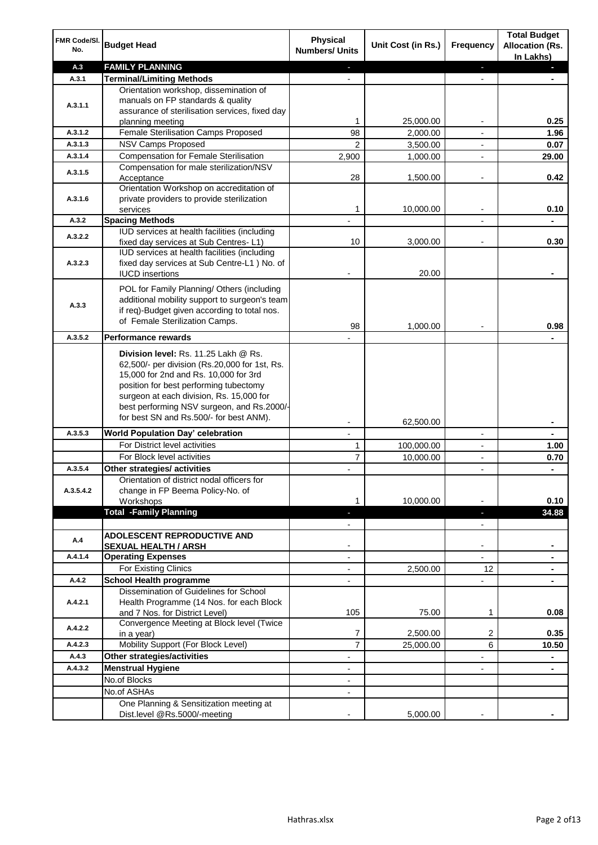| FMR Code/SI.<br>No. | <b>Budget Head</b>                                                                                                                                                                                                                                                                                            | Physical<br><b>Numbers/ Units</b> | Unit Cost (in Rs.) | <b>Frequency</b>              | <b>Total Budget</b><br><b>Allocation (Rs.</b><br>In Lakhs) |
|---------------------|---------------------------------------------------------------------------------------------------------------------------------------------------------------------------------------------------------------------------------------------------------------------------------------------------------------|-----------------------------------|--------------------|-------------------------------|------------------------------------------------------------|
| A.3                 | <b>FAMILY PLANNING</b>                                                                                                                                                                                                                                                                                        | $\overline{\phantom{a}}$          |                    | $\blacksquare$                | o,                                                         |
| A.3.1               | <b>Terminal/Limiting Methods</b>                                                                                                                                                                                                                                                                              |                                   |                    |                               |                                                            |
| A.3.1.1             | Orientation workshop, dissemination of<br>manuals on FP standards & quality<br>assurance of sterilisation services, fixed day<br>planning meeting                                                                                                                                                             | 1                                 | 25,000.00          | -                             | 0.25                                                       |
| A.3.1.2             | Female Sterilisation Camps Proposed                                                                                                                                                                                                                                                                           | 98                                | 2,000.00           |                               | 1.96                                                       |
| A.3.1.3             | NSV Camps Proposed                                                                                                                                                                                                                                                                                            | 2                                 | 3,500.00           |                               | 0.07                                                       |
| A.3.1.4             | <b>Compensation for Female Sterilisation</b>                                                                                                                                                                                                                                                                  | 2,900                             | 1,000.00           | $\overline{\phantom{0}}$      | 29.00                                                      |
| A.3.1.5             | Compensation for male sterilization/NSV<br>Acceptance                                                                                                                                                                                                                                                         | 28                                | 1,500.00           |                               | 0.42                                                       |
| A.3.1.6             | Orientation Workshop on accreditation of<br>private providers to provide sterilization<br>services                                                                                                                                                                                                            | 1                                 | 10,000.00          | $\overline{a}$                | 0.10                                                       |
| A.3.2               | <b>Spacing Methods</b>                                                                                                                                                                                                                                                                                        |                                   |                    | $\overline{a}$                | $\blacksquare$                                             |
| A.3.2.2             | IUD services at health facilities (including<br>fixed day services at Sub Centres-L1)                                                                                                                                                                                                                         | 10                                | 3,000.00           | $\overline{\phantom{a}}$      | 0.30                                                       |
| A.3.2.3             | IUD services at health facilities (including<br>fixed day services at Sub Centre-L1 ) No. of<br><b>IUCD</b> insertions                                                                                                                                                                                        |                                   | 20.00              |                               |                                                            |
| A.3.3               | POL for Family Planning/ Others (including<br>additional mobility support to surgeon's team<br>if req)-Budget given according to total nos.<br>of Female Sterilization Camps.                                                                                                                                 | 98                                | 1,000.00           |                               | 0.98                                                       |
| A.3.5.2             | <b>Performance rewards</b>                                                                                                                                                                                                                                                                                    |                                   |                    |                               |                                                            |
|                     | Division level: Rs. 11.25 Lakh @ Rs.<br>62,500/- per division (Rs.20,000 for 1st, Rs.<br>15,000 for 2nd and Rs. 10,000 for 3rd<br>position for best performing tubectomy<br>surgeon at each division, Rs. 15,000 for<br>best performing NSV surgeon, and Rs.2000/-<br>for best SN and Rs.500/- for best ANM). |                                   | 62,500.00          |                               |                                                            |
| A.3.5.3             | World Population Day' celebration                                                                                                                                                                                                                                                                             |                                   |                    |                               |                                                            |
|                     | For District level activities                                                                                                                                                                                                                                                                                 | 1                                 | 100,000.00         | -                             | 1.00                                                       |
|                     | For Block level activities                                                                                                                                                                                                                                                                                    | $\overline{7}$                    | 10,000.00          | $\overline{\phantom{0}}$      | 0.70                                                       |
| A.3.5.4             | Other strategies/ activities                                                                                                                                                                                                                                                                                  |                                   |                    | $\overline{a}$                |                                                            |
| A.3.5.4.2           | Orientation of district nodal officers for<br>change in FP Beema Policy-No. of<br>Workshops                                                                                                                                                                                                                   | 1                                 | 10,000.00          |                               | 0.10                                                       |
|                     | <b>Total -Family Planning</b>                                                                                                                                                                                                                                                                                 | ٠<br>$\overline{\phantom{a}}$     |                    | ٠<br>$\overline{\phantom{a}}$ | 34.88                                                      |
| A.4                 | <b>ADOLESCENT REPRODUCTIVE AND</b><br><b>SEXUAL HEALTH / ARSH</b>                                                                                                                                                                                                                                             |                                   |                    | -                             |                                                            |
| A.4.1.4             | <b>Operating Expenses</b>                                                                                                                                                                                                                                                                                     |                                   |                    |                               |                                                            |
|                     | For Existing Clinics                                                                                                                                                                                                                                                                                          | $\blacksquare$                    | 2,500.00           | $12 \overline{ }$             |                                                            |
| A.4.2               | <b>School Health programme</b>                                                                                                                                                                                                                                                                                | $\blacksquare$                    |                    | $\frac{1}{2}$                 |                                                            |
| A.4.2.1             | Dissemination of Guidelines for School<br>Health Programme (14 Nos. for each Block<br>and 7 Nos. for District Level)                                                                                                                                                                                          | 105                               | 75.00              | $\mathbf 1$                   | 0.08                                                       |
| A.4.2.2             | Convergence Meeting at Block level (Twice<br>in a year)                                                                                                                                                                                                                                                       | 7                                 | 2,500.00           | 2                             | 0.35                                                       |
| A.4.2.3             | Mobility Support (For Block Level)                                                                                                                                                                                                                                                                            | 7                                 | 25,000.00          | 6                             | 10.50                                                      |
| A.4.3               | Other strategies/activities                                                                                                                                                                                                                                                                                   | $\overline{\phantom{a}}$          |                    |                               | ۰                                                          |
| A.4.3.2             | <b>Menstrual Hygiene</b>                                                                                                                                                                                                                                                                                      | $\overline{\phantom{a}}$          |                    | -                             | $\blacksquare$                                             |
|                     | No.of Blocks                                                                                                                                                                                                                                                                                                  |                                   |                    |                               |                                                            |
|                     | No.of ASHAs                                                                                                                                                                                                                                                                                                   | $\overline{\phantom{a}}$          |                    |                               |                                                            |
|                     | One Planning & Sensitization meeting at<br>Dist.level @Rs.5000/-meeting                                                                                                                                                                                                                                       |                                   | 5,000.00           |                               |                                                            |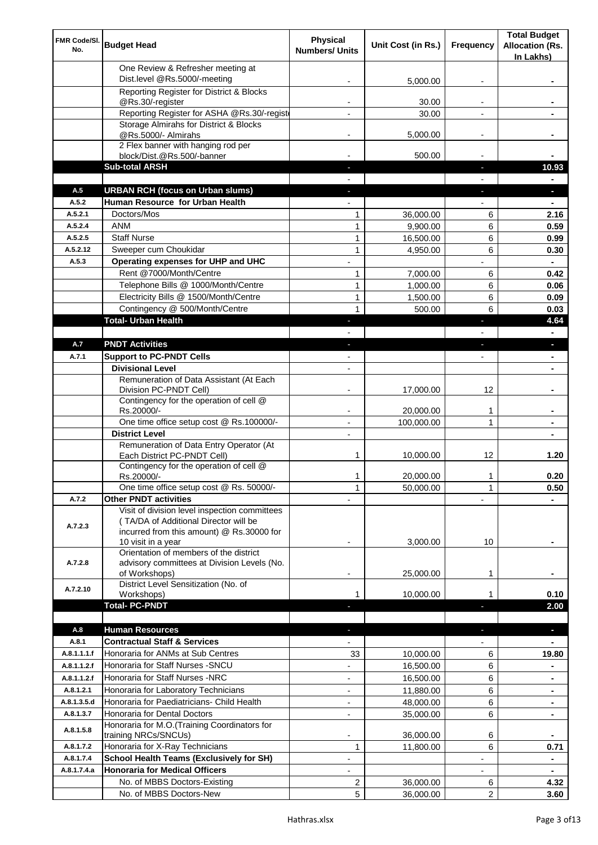| FMR Code/SI.<br>No.  | <b>Budget Head</b>                                                                                                                                        | <b>Physical</b><br><b>Numbers/ Units</b> | Unit Cost (in Rs.)     | Frequency                | <b>Total Budget</b><br><b>Allocation (Rs.</b><br>In Lakhs) |
|----------------------|-----------------------------------------------------------------------------------------------------------------------------------------------------------|------------------------------------------|------------------------|--------------------------|------------------------------------------------------------|
|                      | One Review & Refresher meeting at<br>Dist.level @Rs.5000/-meeting                                                                                         |                                          | 5,000.00               |                          |                                                            |
|                      | Reporting Register for District & Blocks                                                                                                                  |                                          |                        |                          |                                                            |
|                      | @Rs.30/-register                                                                                                                                          |                                          | 30.00                  |                          |                                                            |
|                      | Reporting Register for ASHA @Rs.30/-regist                                                                                                                |                                          | 30.00                  |                          |                                                            |
|                      | Storage Almirahs for District & Blocks<br>@Rs.5000/- Almirahs                                                                                             | $\blacksquare$                           | 5,000.00               | $\overline{\phantom{a}}$ |                                                            |
|                      | 2 Flex banner with hanging rod per                                                                                                                        |                                          |                        |                          |                                                            |
|                      | block/Dist.@Rs.500/-banner                                                                                                                                |                                          | 500.00                 |                          |                                                            |
|                      | <b>Sub-total ARSH</b>                                                                                                                                     |                                          |                        | a.                       | 10.93                                                      |
| A.5                  | <b>URBAN RCH (focus on Urban slums)</b>                                                                                                                   |                                          |                        |                          | н                                                          |
| A.5.2                | Human Resource for Urban Health                                                                                                                           |                                          |                        |                          |                                                            |
| A.5.2.1              | Doctors/Mos                                                                                                                                               | 1                                        | 36,000.00              | 6                        | 2.16                                                       |
| A.5.2.4              | <b>ANM</b>                                                                                                                                                | 1                                        | 9,900.00               | 6                        | 0.59                                                       |
| A.5.2.5<br>A.5.2.12  | <b>Staff Nurse</b><br>Sweeper cum Choukidar                                                                                                               | 1<br>$\mathbf{1}$                        | 16,500.00              | 6<br>6                   | 0.99                                                       |
| A.5.3                | Operating expenses for UHP and UHC                                                                                                                        |                                          | 4,950.00               |                          | 0.30<br>$\blacksquare$                                     |
|                      | Rent @7000/Month/Centre                                                                                                                                   | 1                                        | 7,000.00               | 6                        | 0.42                                                       |
|                      | Telephone Bills @ 1000/Month/Centre                                                                                                                       | $\mathbf{1}$                             | 1,000.00               | 6                        | 0.06                                                       |
|                      | Electricity Bills @ 1500/Month/Centre                                                                                                                     | $\mathbf{1}$                             | 1,500.00               | 6                        | 0.09                                                       |
|                      | Contingency @ 500/Month/Centre                                                                                                                            | $\mathbf{1}$                             | 500.00                 | 6                        | 0.03                                                       |
|                      | <b>Total- Urban Health</b>                                                                                                                                | $\overline{\phantom{a}}$                 |                        | F                        | 4.64                                                       |
|                      |                                                                                                                                                           |                                          |                        |                          | $\blacksquare$                                             |
| A.7                  | <b>PNDT Activities</b>                                                                                                                                    | $\blacksquare$                           |                        | ٠                        | ×.                                                         |
| A.7.1                | <b>Support to PC-PNDT Cells</b>                                                                                                                           | $\overline{\phantom{a}}$                 |                        | $\overline{\phantom{a}}$ | ۰                                                          |
|                      | <b>Divisional Level</b>                                                                                                                                   | $\blacksquare$                           |                        |                          | ۰                                                          |
|                      | Remuneration of Data Assistant (At Each<br>Division PC-PNDT Cell)                                                                                         |                                          | 17,000.00              | 12                       |                                                            |
|                      | Contingency for the operation of cell @<br>Rs.20000/-                                                                                                     |                                          | 20,000.00              | 1                        |                                                            |
|                      | One time office setup cost @ Rs.100000/-                                                                                                                  |                                          | 100,000.00             | 1                        |                                                            |
|                      | <b>District Level</b>                                                                                                                                     | $\blacksquare$                           |                        |                          |                                                            |
|                      | Remuneration of Data Entry Operator (At<br>Each District PC-PNDT Cell)                                                                                    | 1                                        | 10,000.00              | 12                       | 1.20                                                       |
|                      | Contingency for the operation of cell @<br>Rs.20000/-                                                                                                     | 1                                        | 20,000.00              | 1                        | 0.20                                                       |
|                      | One time office setup cost @ Rs. 50000/-                                                                                                                  | $\mathbf{1}$                             | 50,000.00              | 1                        | 0.50                                                       |
| A.7.2                | <b>Other PNDT activities</b>                                                                                                                              |                                          |                        |                          |                                                            |
| A.7.2.3              | Visit of division level inspection committees<br>(TA/DA of Additional Director will be<br>incurred from this amount) @ Rs.30000 for<br>10 visit in a year |                                          | 3,000.00               | 10                       |                                                            |
| A.7.2.8              | Orientation of members of the district<br>advisory committees at Division Levels (No.<br>of Workshops)                                                    | $\overline{\phantom{a}}$                 | 25,000.00              | 1                        |                                                            |
| A.7.2.10             | District Level Sensitization (No. of<br>Workshops)                                                                                                        |                                          | 10,000.00              | 1                        | 0.10                                                       |
|                      | <b>Total- PC-PNDT</b>                                                                                                                                     |                                          |                        |                          | 2.00                                                       |
|                      |                                                                                                                                                           |                                          |                        |                          |                                                            |
| A.8                  | <b>Human Resources</b>                                                                                                                                    |                                          |                        |                          | ÷.                                                         |
| A.8.1<br>A.8.1.1.1.f | <b>Contractual Staff &amp; Services</b><br>Honoraria for ANMs at Sub Centres                                                                              | 33                                       |                        | 6                        | 19.80                                                      |
| A.8.1.1.2.f          | Honoraria for Staff Nurses - SNCU                                                                                                                         |                                          | 10,000.00<br>16,500.00 | 6                        |                                                            |
| A.8.1.1.2.f          | Honoraria for Staff Nurses -NRC                                                                                                                           | ÷                                        | 16,500.00              | 6                        |                                                            |
| A.8.1.2.1            | Honoraria for Laboratory Technicians                                                                                                                      |                                          | 11,880.00              | 6                        |                                                            |
| A.8.1.3.5.d          | Honoraria for Paediatricians- Child Health                                                                                                                |                                          | 48,000.00              | 6                        |                                                            |
| A.8.1.3.7            | Honoraria for Dental Doctors                                                                                                                              | $\blacksquare$                           | 35,000.00              | 6                        |                                                            |
| A.8.1.5.8            | Honoraria for M.O.(Training Coordinators for<br>training NRCs/SNCUs)                                                                                      |                                          | 36,000.00              | 6                        |                                                            |
| A.8.1.7.2            | Honoraria for X-Ray Technicians                                                                                                                           | 1                                        | 11,800.00              | 6                        | 0.71                                                       |
| A.8.1.7.4            | <b>School Health Teams (Exclusively for SH)</b>                                                                                                           |                                          |                        |                          | ۰                                                          |
| A.8.1.7.4.a          | <b>Honoraria for Medical Officers</b>                                                                                                                     |                                          |                        |                          |                                                            |
|                      | No. of MBBS Doctors-Existing                                                                                                                              | 2                                        | 36,000.00              | 6                        | 4.32                                                       |
|                      | No. of MBBS Doctors-New                                                                                                                                   | 5                                        | 36,000.00              | $\overline{2}$           | 3.60                                                       |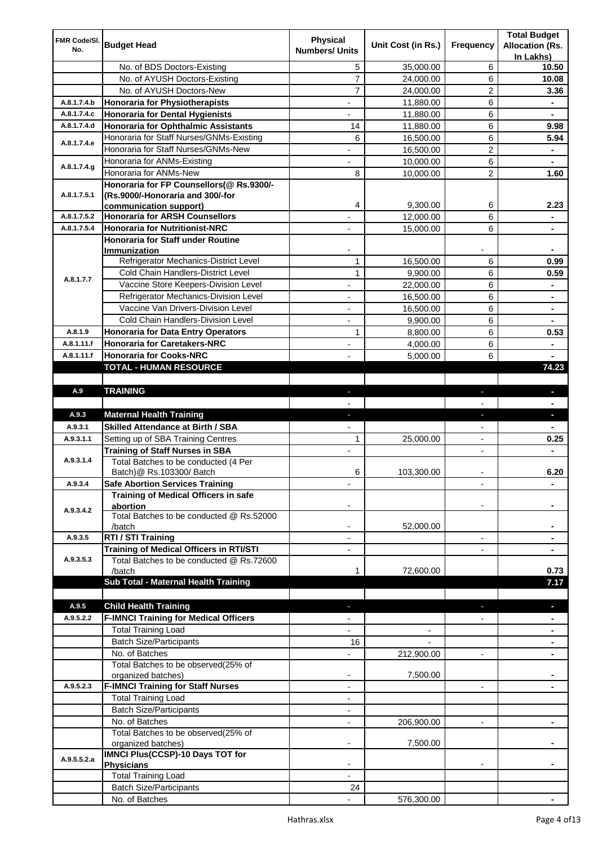| FMR Code/SI. |                                                                                 | <b>Physical</b>              |                    |                          | <b>Total Budget</b>    |
|--------------|---------------------------------------------------------------------------------|------------------------------|--------------------|--------------------------|------------------------|
| No.          | <b>Budget Head</b>                                                              | <b>Numbers/ Units</b>        | Unit Cost (in Rs.) | Frequency                | <b>Allocation (Rs.</b> |
|              |                                                                                 |                              |                    |                          | In Lakhs)              |
|              | No. of BDS Doctors-Existing                                                     | 5                            | 35,000.00          | 6                        | 10.50                  |
|              | No. of AYUSH Doctors-Existing                                                   | 7                            | 24,000.00          | 6                        | 10.08                  |
|              | No. of AYUSH Doctors-New                                                        | $\overline{7}$               | 24,000.00          | 2                        | 3.36                   |
| A.8.1.7.4.b  | <b>Honoraria for Physiotherapists</b>                                           | $\qquad \qquad \blacksquare$ | 11,880.00          | 6                        | ۰                      |
| A.8.1.7.4.c  | <b>Honoraria for Dental Hygienists</b>                                          |                              | 11,880.00          | 6                        | ۰                      |
| A.8.1.7.4.d  | <b>Honoraria for Ophthalmic Assistants</b>                                      | 14                           | 11,880.00          | 6                        | 9.98                   |
| A.8.1.7.4.e  | Honoraria for Staff Nurses/GNMs-Existing<br>Honoraria for Staff Nurses/GNMs-New | 6                            | 16,500.00          | 6                        | 5.94                   |
|              |                                                                                 | $\overline{\phantom{a}}$     | 16,500.00          | $\overline{c}$           | ٠                      |
| A.8.1.7.4.g  | Honoraria for ANMs-Existing                                                     |                              | 10,000.00          | 6                        |                        |
|              | Honoraria for ANMs-New                                                          | 8                            | 10,000.00          | 2                        | 1.60                   |
| A.8.1.7.5.1  | Honoraria for FP Counsellors(@ Rs.9300/-<br>(Rs.9000/-Honoraria and 300/-for    |                              |                    |                          |                        |
|              | communication support)                                                          | 4                            | 9,300.00           | 6                        | 2.23                   |
| A.8.1.7.5.2  | <b>Honoraria for ARSH Counsellors</b>                                           |                              | 12,000.00          | 6                        |                        |
| A.8.1.7.5.4  | <b>Honoraria for Nutritionist-NRC</b>                                           |                              | 15,000.00          | 6                        |                        |
|              | Honoraria for Staff under Routine                                               |                              |                    |                          |                        |
|              | Immunization                                                                    |                              |                    |                          |                        |
|              | Refrigerator Mechanics-District Level                                           | $\mathbf{1}$                 | 16,500.00          | 6                        | 0.99                   |
|              | Cold Chain Handlers-District Level                                              | $\mathbf{1}$                 | 9,900.00           | 6                        | 0.59                   |
| A.8.1.7.7    | Vaccine Store Keepers-Division Level                                            |                              | 22,000.00          | 6                        |                        |
|              | Refrigerator Mechanics-Division Level                                           | $\blacksquare$               | 16,500.00          | 6                        | ۰                      |
|              | Vaccine Van Drivers-Division Level                                              | ÷,                           | 16,500.00          | 6                        | ۰                      |
|              | Cold Chain Handlers-Division Level                                              | $\overline{\phantom{a}}$     | 9,900.00           | 6                        | ۰                      |
| A.8.1.9      | <b>Honoraria for Data Entry Operators</b>                                       | 1                            | 8,800.00           | 6                        | 0.53                   |
| A.8.1.11.f   | <b>Honoraria for Caretakers-NRC</b>                                             | $\blacksquare$               | 4,000.00           | 6                        | ä,                     |
| A.8.1.11.f   | <b>Honoraria for Cooks-NRC</b>                                                  |                              | 5,000.00           | 6                        |                        |
|              | TOTAL - HUMAN RESOURCE                                                          |                              |                    |                          | 74.23                  |
|              |                                                                                 |                              |                    |                          |                        |
| A.9          | <b>TRAINING</b>                                                                 | ٠                            |                    | ٠                        | ٠                      |
|              |                                                                                 |                              |                    |                          |                        |
| A.9.3        | <b>Maternal Health Training</b>                                                 | ٠                            |                    | ٠                        | ٠                      |
| A.9.3.1      | <b>Skilled Attendance at Birth / SBA</b>                                        |                              |                    |                          |                        |
| A.9.3.1.1    | Setting up of SBA Training Centres                                              | 1                            | 25,000.00          | $\overline{\phantom{a}}$ | 0.25                   |
|              | <b>Training of Staff Nurses in SBA</b>                                          | $\overline{\phantom{a}}$     |                    | $\overline{\phantom{0}}$ |                        |
| A.9.3.1.4    | Total Batches to be conducted (4 Per                                            |                              |                    |                          |                        |
|              | Batch) @ Rs.103300/ Batch                                                       | 6                            | 103,300.00         |                          | 6.20                   |
| A.9.3.4      | <b>Safe Abortion Services Training</b>                                          |                              |                    |                          |                        |
|              | Training of Medical Officers in safe                                            |                              |                    |                          |                        |
| A.9.3.4.2    | abortion<br>Total Batches to be conducted @ Rs.52000                            |                              |                    |                          |                        |
|              | /batch                                                                          |                              | 52,000.00          |                          |                        |
| A.9.3.5      | RTI / STI Training                                                              |                              |                    | $\overline{a}$           |                        |
|              | Training of Medical Officers in RTI/STI                                         |                              |                    |                          |                        |
| A.9.3.5.3    | Total Batches to be conducted @ Rs.72600                                        |                              |                    |                          |                        |
|              | /batch                                                                          | 1                            | 72,600.00          |                          | 0.73                   |
|              | Sub Total - Maternal Health Training                                            |                              |                    |                          | 7.17                   |
|              |                                                                                 |                              |                    |                          |                        |
| A.9.5        | <b>Child Health Training</b>                                                    |                              |                    |                          |                        |
| A.9.5.2.2    | <b>F-IMNCI Training for Medical Officers</b>                                    |                              |                    |                          |                        |
|              | <b>Total Training Load</b>                                                      |                              |                    |                          |                        |
|              | <b>Batch Size/Participants</b>                                                  | 16                           |                    |                          |                        |
|              | No. of Batches                                                                  |                              | 212,900.00         | $\overline{a}$           |                        |
|              | Total Batches to be observed(25% of                                             |                              |                    |                          |                        |
|              | organized batches)                                                              | $\overline{\phantom{a}}$     | 7,500.00           |                          |                        |
| A.9.5.2.3    | <b>F-IMNCI Training for Staff Nurses</b>                                        | $\overline{\phantom{a}}$     |                    | $\overline{\phantom{a}}$ | ۰                      |
|              | <b>Total Training Load</b>                                                      | $\overline{\phantom{a}}$     |                    |                          |                        |
|              | <b>Batch Size/Participants</b>                                                  |                              |                    |                          |                        |
|              | No. of Batches                                                                  | $\overline{\phantom{a}}$     | 206,900.00         | $\overline{\phantom{a}}$ | ۰                      |
|              | Total Batches to be observed(25% of<br>organized batches)                       |                              | 7,500.00           |                          |                        |
|              | IMNCI Plus(CCSP)-10 Days TOT for                                                |                              |                    |                          |                        |
| A.9.5.5.2.a  | <b>Physicians</b>                                                               |                              |                    |                          |                        |
|              | <b>Total Training Load</b>                                                      |                              |                    |                          |                        |
|              | <b>Batch Size/Participants</b>                                                  | 24                           |                    |                          |                        |
|              | No. of Batches                                                                  |                              | 576,300.00         |                          |                        |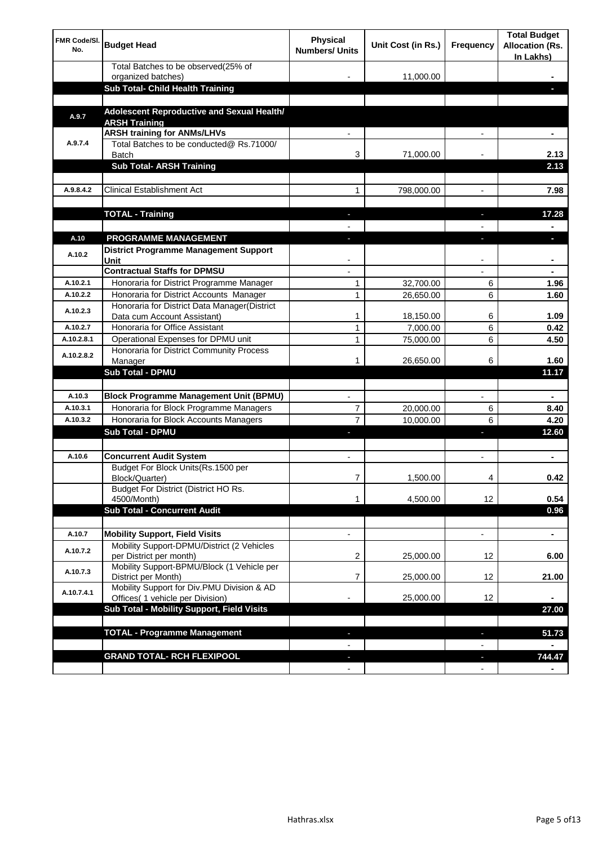| FMR Code/SI.<br>No. | <b>Budget Head</b>                                                    | Physical<br><b>Numbers/ Units</b> | Unit Cost (in Rs.) | Frequency                | <b>Total Budget</b><br><b>Allocation (Rs.</b><br>In Lakhs) |
|---------------------|-----------------------------------------------------------------------|-----------------------------------|--------------------|--------------------------|------------------------------------------------------------|
|                     | Total Batches to be observed(25% of                                   |                                   |                    |                          |                                                            |
|                     | organized batches)<br>Sub Total- Child Health Training                |                                   | 11,000.00          |                          |                                                            |
|                     |                                                                       |                                   |                    |                          |                                                            |
| A.9.7               | Adolescent Reproductive and Sexual Health/<br><b>ARSH Training</b>    |                                   |                    |                          |                                                            |
|                     | <b>ARSH training for ANMs/LHVs</b>                                    |                                   |                    |                          |                                                            |
| A.9.7.4             | Total Batches to be conducted@ Rs.71000/<br>Batch                     | 3                                 | 71,000.00          |                          | 2.13                                                       |
|                     | <b>Sub Total- ARSH Training</b>                                       |                                   |                    |                          | 2.13                                                       |
|                     |                                                                       |                                   |                    |                          |                                                            |
| A.9.8.4.2           | <b>Clinical Establishment Act</b>                                     | 1                                 | 798,000.00         |                          | 7.98                                                       |
|                     |                                                                       |                                   |                    |                          |                                                            |
|                     | <b>TOTAL - Training</b>                                               |                                   |                    |                          | 17.28                                                      |
|                     |                                                                       |                                   |                    |                          |                                                            |
| A.10                | PROGRAMME MANAGEMENT                                                  |                                   |                    |                          |                                                            |
| A.10.2              | <b>District Programme Management Support</b><br>Unit                  |                                   |                    |                          |                                                            |
|                     | <b>Contractual Staffs for DPMSU</b>                                   |                                   |                    |                          |                                                            |
| A.10.2.1            | Honoraria for District Programme Manager                              | 1                                 | 32,700.00          | 6                        | 1.96                                                       |
| A.10.2.2            | Honoraria for District Accounts Manager                               | 1                                 | 26,650.00          | 6                        | 1.60                                                       |
| A.10.2.3            | Honoraria for District Data Manager(District                          |                                   |                    |                          |                                                            |
|                     | Data cum Account Assistant)                                           | 1                                 | 18,150.00          | 6                        | 1.09                                                       |
| A.10.2.7            | Honoraria for Office Assistant                                        | $\mathbf{1}$                      | 7,000.00           | 6                        | 0.42                                                       |
| A.10.2.8.1          | Operational Expenses for DPMU unit                                    | $\mathbf{1}$                      | 75,000.00          | 6                        | 4.50                                                       |
| A.10.2.8.2          | Honoraria for District Community Process<br>Manager                   | 1                                 | 26,650.00          | 6                        | 1.60                                                       |
|                     | <b>Sub Total - DPMU</b>                                               |                                   |                    |                          | 11.17                                                      |
|                     |                                                                       |                                   |                    |                          |                                                            |
| A.10.3              | <b>Block Programme Management Unit (BPMU)</b>                         | $\blacksquare$                    |                    | $\overline{\phantom{a}}$ | $\blacksquare$                                             |
| A.10.3.1            | Honoraria for Block Programme Managers                                | 7                                 | 20,000.00          | 6                        | 8.40                                                       |
| A.10.3.2            | Honoraria for Block Accounts Managers                                 | $\overline{7}$                    | 10,000.00          | 6                        | 4.20                                                       |
|                     | Sub Total - DPMU                                                      |                                   |                    | J,                       | 12.60                                                      |
|                     |                                                                       |                                   |                    |                          |                                                            |
| A.10.6              | <b>Concurrent Audit System</b>                                        | $\blacksquare$                    |                    | $\blacksquare$           | ۰                                                          |
|                     | Budget For Block Units(Rs.1500 per<br>Block/Quarter)                  |                                   | 1,500.00           | 4                        | 0.42                                                       |
|                     | Budget For District (District HO Rs.<br>4500/Month)                   |                                   |                    |                          | 0.54                                                       |
|                     | <b>Sub Total - Concurrent Audit</b>                                   | 1                                 | 4,500.00           | 12                       | 0.96                                                       |
|                     |                                                                       |                                   |                    |                          |                                                            |
| A.10.7              | <b>Mobility Support, Field Visits</b>                                 | $\overline{\phantom{a}}$          |                    | $\overline{\phantom{a}}$ | $\blacksquare$                                             |
| A.10.7.2            | Mobility Support-DPMU/District (2 Vehicles<br>per District per month) | 2                                 | 25,000.00          | 12                       | 6.00                                                       |
| A.10.7.3            | Mobility Support-BPMU/Block (1 Vehicle per                            |                                   |                    |                          |                                                            |
|                     | District per Month)<br>Mobility Support for Div.PMU Division & AD     | 7                                 | 25,000.00          | 12                       | 21.00                                                      |
| A.10.7.4.1          | Offices( 1 vehicle per Division)                                      |                                   | 25,000.00          | 12                       |                                                            |
|                     | Sub Total - Mobility Support, Field Visits                            |                                   |                    |                          | 27.00                                                      |
|                     |                                                                       |                                   |                    |                          |                                                            |
|                     | <b>TOTAL - Programme Management</b>                                   |                                   |                    | r.                       | 51.73                                                      |
|                     |                                                                       |                                   |                    |                          |                                                            |
|                     | <b>GRAND TOTAL- RCH FLEXIPOOL</b>                                     |                                   |                    | a,                       | 744.47                                                     |
|                     |                                                                       |                                   |                    | $\overline{\phantom{a}}$ |                                                            |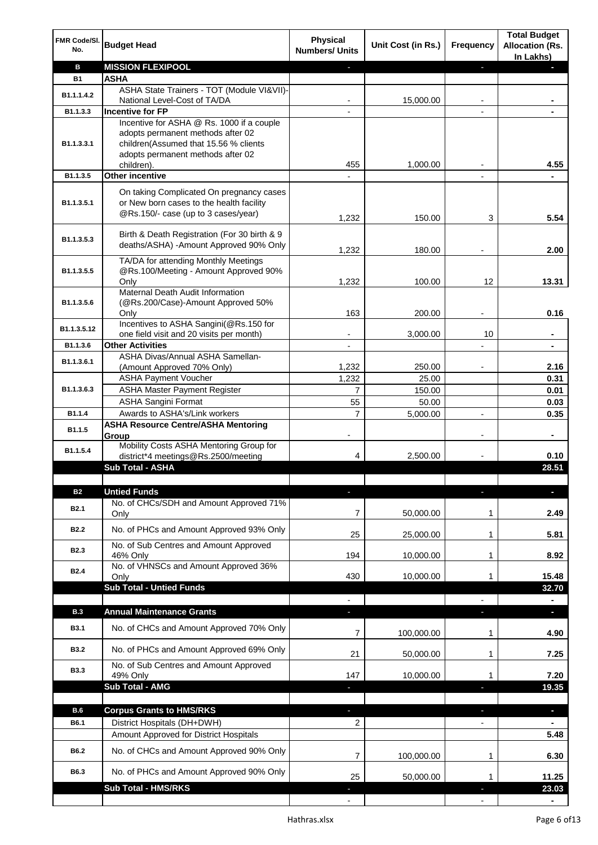| FMR Code/SI.<br>No. | <b>Budget Head</b>                                                                                                          | <b>Physical</b><br><b>Numbers/ Units</b> | Unit Cost (in Rs.) | Frequency                | <b>Total Budget</b><br><b>Allocation (Rs.</b><br>In Lakhs) |
|---------------------|-----------------------------------------------------------------------------------------------------------------------------|------------------------------------------|--------------------|--------------------------|------------------------------------------------------------|
| в                   | <b>MISSION FLEXIPOOL</b>                                                                                                    |                                          |                    | ٠                        |                                                            |
| <b>B1</b>           | ASHA                                                                                                                        |                                          |                    |                          |                                                            |
| B1.1.1.4.2          | ASHA State Trainers - TOT (Module VI&VII)-                                                                                  |                                          |                    |                          |                                                            |
| B1.1.3.3            | National Level-Cost of TA/DA<br><b>Incentive for FP</b>                                                                     |                                          | 15,000.00          |                          |                                                            |
|                     | Incentive for ASHA @ Rs. 1000 if a couple                                                                                   |                                          |                    |                          |                                                            |
| B1.1.3.3.1          | adopts permanent methods after 02<br>children(Assumed that 15.56 % clients<br>adopts permanent methods after 02             | 455                                      | 1,000.00           |                          | 4.55                                                       |
| B1.1.3.5            | children).<br>Other incentive                                                                                               |                                          |                    |                          |                                                            |
|                     |                                                                                                                             |                                          |                    |                          |                                                            |
| B1.1.3.5.1          | On taking Complicated On pregnancy cases<br>or New born cases to the health facility<br>@Rs.150/- case (up to 3 cases/year) | 1,232                                    | 150.00             | 3                        | 5.54                                                       |
| B1.1.3.5.3          | Birth & Death Registration (For 30 birth & 9<br>deaths/ASHA) -Amount Approved 90% Only                                      | 1,232                                    | 180.00             |                          | 2.00                                                       |
| B1.1.3.5.5          | TA/DA for attending Monthly Meetings<br>@Rs.100/Meeting - Amount Approved 90%<br>Only                                       | 1,232                                    | 100.00             | 12                       | 13.31                                                      |
|                     | Maternal Death Audit Information                                                                                            |                                          |                    |                          |                                                            |
| B1.1.3.5.6          | (@Rs.200/Case)-Amount Approved 50%                                                                                          |                                          |                    |                          |                                                            |
|                     | Only                                                                                                                        | 163                                      | 200.00             |                          | 0.16                                                       |
| B1.1.3.5.12         | Incentives to ASHA Sangini(@Rs.150 for<br>one field visit and 20 visits per month)                                          |                                          | 3,000.00           | 10                       |                                                            |
| B1.1.3.6            | <b>Other Activities</b>                                                                                                     |                                          |                    |                          |                                                            |
| B1.1.3.6.1          | ASHA Divas/Annual ASHA Samellan-                                                                                            |                                          |                    |                          |                                                            |
|                     | (Amount Approved 70% Only)                                                                                                  | 1,232                                    | 250.00             |                          | 2.16                                                       |
|                     | <b>ASHA Payment Voucher</b>                                                                                                 | 1,232                                    | 25.00              |                          | 0.31                                                       |
| B1.1.3.6.3          | <b>ASHA Master Payment Register</b><br><b>ASHA Sangini Format</b>                                                           | $\overline{7}$<br>55                     | 150.00<br>50.00    |                          | 0.01<br>0.03                                               |
| B1.1.4              | Awards to ASHA's/Link workers                                                                                               | $\overline{7}$                           | 5,000.00           | $\overline{a}$           | 0.35                                                       |
|                     | <b>ASHA Resource Centre/ASHA Mentoring</b>                                                                                  |                                          |                    |                          |                                                            |
| B1.1.5              | Group                                                                                                                       | -                                        |                    | $\overline{\phantom{a}}$ | $\blacksquare$                                             |
| B1.1.5.4            | Mobility Costs ASHA Mentoring Group for<br>district*4 meetings@Rs.2500/meeting                                              | 4                                        | 2,500.00           |                          | 0.10                                                       |
|                     | Sub Total - ASHA                                                                                                            |                                          |                    |                          | 28.51                                                      |
|                     |                                                                                                                             |                                          |                    |                          |                                                            |
| <b>B2</b>           | <b>Untied Funds</b>                                                                                                         |                                          |                    |                          |                                                            |
| <b>B2.1</b>         | No. of CHCs/SDH and Amount Approved 71%<br>Only                                                                             | 7                                        | 50,000.00          | 1                        | 2.49                                                       |
| <b>B2.2</b>         | No. of PHCs and Amount Approved 93% Only                                                                                    | 25                                       | 25,000.00          | 1                        | 5.81                                                       |
| <b>B2.3</b>         | No. of Sub Centres and Amount Approved                                                                                      |                                          |                    |                          |                                                            |
|                     | 46% Only<br>No. of VHNSCs and Amount Approved 36%                                                                           | 194                                      | 10,000.00          | 1                        | 8.92                                                       |
| B <sub>2.4</sub>    | Only                                                                                                                        | 430                                      | 10,000.00          |                          | 15.48                                                      |
|                     | <b>Sub Total - Untied Funds</b>                                                                                             |                                          |                    |                          | 32.70                                                      |
|                     |                                                                                                                             |                                          |                    |                          |                                                            |
| <b>B.3</b>          | <b>Annual Maintenance Grants</b>                                                                                            | ÷.                                       |                    |                          | J,                                                         |
| <b>B3.1</b>         | No. of CHCs and Amount Approved 70% Only                                                                                    | 7                                        | 100,000.00         | 1                        | 4.90                                                       |
| <b>B3.2</b>         | No. of PHCs and Amount Approved 69% Only                                                                                    | 21                                       | 50,000.00          | 1                        | 7.25                                                       |
| <b>B3.3</b>         | No. of Sub Centres and Amount Approved<br>49% Only                                                                          | 147                                      | 10,000.00          | 1                        | 7.20                                                       |
|                     | Sub Total - AMG                                                                                                             |                                          |                    |                          | 19.35                                                      |
|                     |                                                                                                                             |                                          |                    |                          |                                                            |
| <b>B.6</b>          | <b>Corpus Grants to HMS/RKS</b>                                                                                             | ٠                                        |                    | J,                       | $\overline{\phantom{a}}$                                   |
| B6.1                | District Hospitals (DH+DWH)                                                                                                 | 2                                        |                    |                          |                                                            |
|                     | Amount Approved for District Hospitals                                                                                      |                                          |                    |                          | 5.48                                                       |
| B6.2                | No. of CHCs and Amount Approved 90% Only                                                                                    | 7                                        | 100,000.00         | $\mathbf{1}$             | 6.30                                                       |
| B6.3                | No. of PHCs and Amount Approved 90% Only<br><b>Sub Total - HMS/RKS</b>                                                      | 25                                       | 50,000.00          | 1                        | 11.25<br>23.03                                             |
|                     |                                                                                                                             |                                          |                    |                          |                                                            |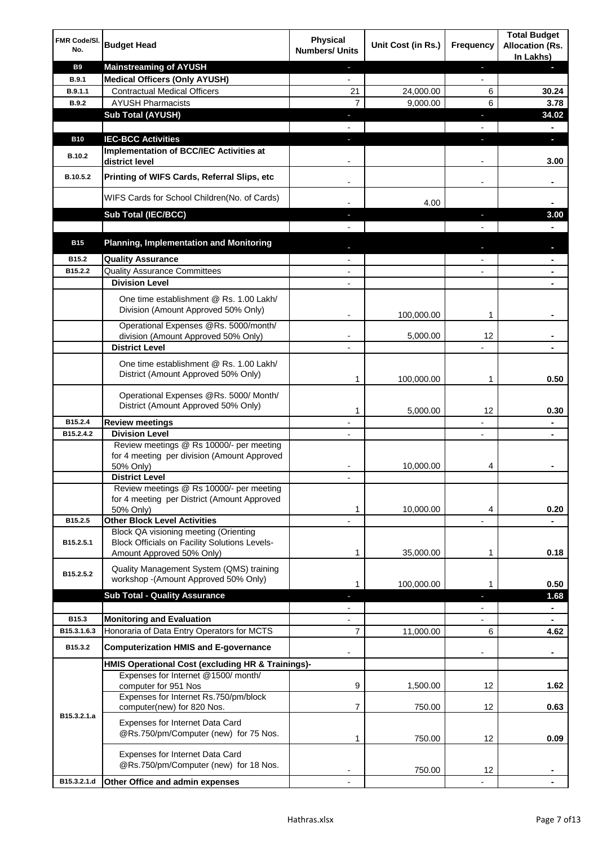| FMR Code/SI.<br>No. | <b>Budget Head</b>                                                                                                                | <b>Physical</b><br><b>Numbers/ Units</b> | Unit Cost (in Rs.) | <b>Frequency</b>         | <b>Total Budget</b><br><b>Allocation (Rs.</b><br>In Lakhs) |
|---------------------|-----------------------------------------------------------------------------------------------------------------------------------|------------------------------------------|--------------------|--------------------------|------------------------------------------------------------|
| <b>B9</b>           | <b>Mainstreaming of AYUSH</b>                                                                                                     | $\overline{\phantom{a}}$                 |                    | ٠                        | ٠                                                          |
| <b>B.9.1</b>        | <b>Medical Officers (Only AYUSH)</b>                                                                                              | $\blacksquare$                           |                    | $\blacksquare$           |                                                            |
| B.9.1.1             | <b>Contractual Medical Officers</b>                                                                                               | 21                                       | 24,000.00          | 6                        | 30.24                                                      |
| <b>B.9.2</b>        | <b>AYUSH Pharmacists</b>                                                                                                          | $\overline{7}$                           | 9,000.00           | 6                        | 3.78                                                       |
|                     | <b>Sub Total (AYUSH)</b>                                                                                                          | J,                                       |                    | ı                        | 34.02                                                      |
| <b>B10</b>          | <b>IEC-BCC Activities</b>                                                                                                         | r.                                       |                    | ı                        | $\blacksquare$<br>÷.                                       |
|                     | Implementation of BCC/IEC Activities at                                                                                           |                                          |                    |                          |                                                            |
| B.10.2              | district level                                                                                                                    |                                          |                    | $\overline{a}$           | 3.00                                                       |
| B.10.5.2            | Printing of WIFS Cards, Referral Slips, etc                                                                                       | $\blacksquare$                           |                    | $\overline{\phantom{a}}$ | ۰                                                          |
|                     | WIFS Cards for School Children(No. of Cards)                                                                                      |                                          | 4.00               |                          |                                                            |
|                     | Sub Total (IEC/BCC)                                                                                                               |                                          |                    |                          | 3.00                                                       |
|                     |                                                                                                                                   |                                          |                    |                          |                                                            |
| <b>B15</b>          | <b>Planning, Implementation and Monitoring</b>                                                                                    |                                          |                    |                          |                                                            |
| B15.2               | <b>Quality Assurance</b>                                                                                                          |                                          |                    |                          | ۰                                                          |
| B15.2.2             | <b>Quality Assurance Committees</b>                                                                                               | $\overline{\phantom{a}}$                 |                    |                          | ۰                                                          |
|                     | <b>Division Level</b>                                                                                                             |                                          |                    |                          |                                                            |
|                     | One time establishment @ Rs. 1.00 Lakh/<br>Division (Amount Approved 50% Only)                                                    |                                          | 100,000.00         | 1                        |                                                            |
|                     | Operational Expenses @Rs. 5000/month/                                                                                             |                                          |                    |                          |                                                            |
|                     | division (Amount Approved 50% Only)                                                                                               |                                          | 5,000.00           | 12                       |                                                            |
|                     | <b>District Level</b>                                                                                                             |                                          |                    |                          |                                                            |
|                     | One time establishment @ Rs. 1.00 Lakh/<br>District (Amount Approved 50% Only)                                                    | 1                                        | 100,000.00         | 1                        | 0.50                                                       |
|                     | Operational Expenses @Rs. 5000/ Month/<br>District (Amount Approved 50% Only)                                                     | 1                                        | 5,000.00           | 12                       | 0.30                                                       |
| B15.2.4             | <b>Review meetings</b>                                                                                                            |                                          |                    |                          | ۰                                                          |
| B15.2.4.2           | <b>Division Level</b>                                                                                                             |                                          |                    | $\overline{\phantom{a}}$ | ۰                                                          |
|                     | Review meetings @ Rs 10000/- per meeting<br>for 4 meeting per division (Amount Approved<br>50% Only)                              |                                          | 10,000.00          | 4                        |                                                            |
|                     | <b>District Level</b>                                                                                                             |                                          |                    |                          |                                                            |
|                     | Review meetings @ Rs 10000/- per meeting<br>for 4 meeting per District (Amount Approved<br>50% Only)                              | 1                                        | 10,000.00          | 4                        | 0.20                                                       |
| B15.2.5             | <b>Other Block Level Activities</b>                                                                                               |                                          |                    |                          |                                                            |
| B15.2.5.1           | <b>Block QA visioning meeting (Orienting</b><br><b>Block Officials on Facility Solutions Levels-</b><br>Amount Approved 50% Only) | 1                                        | 35,000.00          | 1                        | 0.18                                                       |
| B15.2.5.2           | Quality Management System (QMS) training                                                                                          |                                          |                    |                          |                                                            |
|                     | workshop - (Amount Approved 50% Only)                                                                                             | 1                                        | 100,000.00         | 1                        | 0.50                                                       |
|                     | <b>Sub Total - Quality Assurance</b>                                                                                              | L                                        |                    | J,                       | 1.68                                                       |
| B15.3               | <b>Monitoring and Evaluation</b>                                                                                                  |                                          |                    |                          | $\blacksquare$                                             |
| B15.3.1.6.3         | Honoraria of Data Entry Operators for MCTS                                                                                        | 7                                        | 11,000.00          | 6                        | ۰<br>4.62                                                  |
| B15.3.2             | <b>Computerization HMIS and E-governance</b>                                                                                      |                                          |                    |                          |                                                            |
|                     | HMIS Operational Cost (excluding HR & Trainings)-                                                                                 |                                          |                    |                          |                                                            |
|                     | Expenses for Internet @1500/month/                                                                                                |                                          |                    |                          |                                                            |
|                     | computer for 951 Nos                                                                                                              | 9                                        | 1,500.00           | 12                       | 1.62                                                       |
|                     | Expenses for Internet Rs.750/pm/block<br>computer(new) for 820 Nos.                                                               | 7                                        | 750.00             | 12                       | 0.63                                                       |
| B15.3.2.1.a         | Expenses for Internet Data Card<br>@Rs.750/pm/Computer (new) for 75 Nos.                                                          | 1                                        | 750.00             | 12                       | 0.09                                                       |
|                     | Expenses for Internet Data Card<br>@Rs.750/pm/Computer (new) for 18 Nos.                                                          |                                          | 750.00             | 12                       |                                                            |
| B15.3.2.1.d         | Other Office and admin expenses                                                                                                   |                                          |                    |                          |                                                            |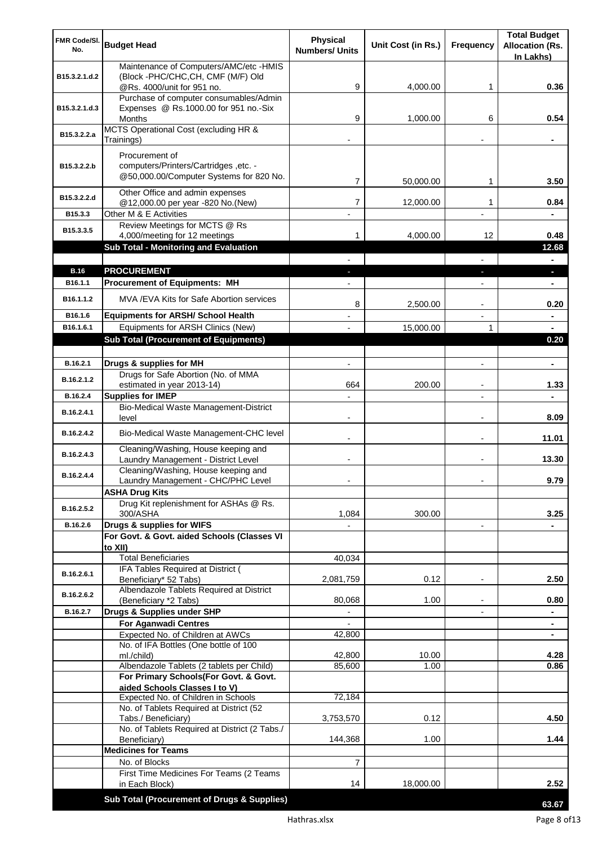| FMR Code/SI.          | <b>Budget Head</b>                                                                                                | <b>Physical</b>          | Unit Cost (in Rs.) | <b>Frequency</b>         | <b>Total Budget</b><br><b>Allocation (Rs.</b> |
|-----------------------|-------------------------------------------------------------------------------------------------------------------|--------------------------|--------------------|--------------------------|-----------------------------------------------|
| No.                   |                                                                                                                   | <b>Numbers/ Units</b>    |                    |                          | In Lakhs)                                     |
|                       | Maintenance of Computers/AMC/etc -HMIS                                                                            |                          |                    |                          |                                               |
| B15.3.2.1.d.2         | (Block -PHC/CHC, CH, CMF (M/F) Old<br>@Rs. 4000/unit for 951 no.                                                  | 9                        | 4,000.00           | 1                        | 0.36                                          |
|                       | Purchase of computer consumables/Admin                                                                            |                          |                    |                          |                                               |
| B15.3.2.1.d.3         | Expenses @ Rs.1000.00 for 951 no.-Six                                                                             |                          |                    |                          |                                               |
|                       | Months<br>MCTS Operational Cost (excluding HR &                                                                   | 9                        | 1,000.00           | 6                        | 0.54                                          |
| B15.3.2.2.a           | Trainings)                                                                                                        |                          |                    |                          |                                               |
|                       | Procurement of                                                                                                    |                          |                    |                          |                                               |
| B15.3.2.2.b           | computers/Printers/Cartridges, etc. -                                                                             |                          |                    |                          |                                               |
|                       | @50,000.00/Computer Systems for 820 No.                                                                           | 7                        | 50,000.00          | 1                        | 3.50                                          |
| B15.3.2.2.d           | Other Office and admin expenses                                                                                   | 7                        | 12,000.00          | 1                        | 0.84                                          |
| B15.3.3               | @12,000.00 per year -820 No.(New)<br>Other M & E Activities                                                       |                          |                    |                          |                                               |
| B15.3.3.5             | Review Meetings for MCTS @ Rs                                                                                     |                          |                    |                          |                                               |
|                       | 4,000/meeting for 12 meetings                                                                                     | 1                        | 4,000.00           | 12                       | 0.48                                          |
|                       | Sub Total - Monitoring and Evaluation                                                                             |                          |                    |                          | 12.68<br>$\blacksquare$                       |
| <b>B.16</b>           | <b>PROCUREMENT</b>                                                                                                |                          |                    |                          | ×.                                            |
| B <sub>16.1.1</sub>   | <b>Procurement of Equipments: MH</b>                                                                              |                          |                    |                          | ٠                                             |
| B <sub>16.1.1.2</sub> | MVA/EVA Kits for Safe Abortion services                                                                           | 8                        |                    |                          | 0.20                                          |
| B16.1.6               | <b>Equipments for ARSH/ School Health</b>                                                                         |                          | 2,500.00           |                          | $\blacksquare$                                |
| B16.1.6.1             | Equipments for ARSH Clinics (New)                                                                                 |                          | 15,000.00          | 1                        | $\blacksquare$                                |
|                       | <b>Sub Total (Procurement of Equipments)</b>                                                                      |                          |                    |                          | 0.20                                          |
|                       |                                                                                                                   |                          |                    |                          |                                               |
| B.16.2.1              | Drugs & supplies for MH<br>Drugs for Safe Abortion (No. of MMA                                                    | $\blacksquare$           |                    | $\blacksquare$           | $\blacksquare$                                |
| B.16.2.1.2            | estimated in year 2013-14)                                                                                        | 664                      | 200.00             |                          | 1.33                                          |
| B.16.2.4              | <b>Supplies for IMEP</b>                                                                                          |                          |                    |                          |                                               |
| B.16.2.4.1            | Bio-Medical Waste Management-District<br>level                                                                    | $\overline{\phantom{0}}$ |                    | $\blacksquare$           | 8.09                                          |
| B.16.2.4.2            | Bio-Medical Waste Management-CHC level                                                                            |                          |                    | $\blacksquare$           | 11.01                                         |
| B.16.2.4.3            | Cleaning/Washing, House keeping and<br>Laundry Management - District Level<br>Cleaning/Washing, House keeping and |                          |                    | $\blacksquare$           | 13.30                                         |
| B.16.2.4.4            | Laundry Management - CHC/PHC Level                                                                                |                          |                    |                          | 9.79                                          |
|                       | <b>ASHA Drug Kits</b>                                                                                             |                          |                    |                          |                                               |
| B.16.2.5.2            | Drug Kit replenishment for ASHAs @ Rs.<br>300/ASHA                                                                |                          | 300.00             |                          | 3.25                                          |
| B.16.2.6              | Drugs & supplies for WIFS                                                                                         | 1,084                    |                    | $\overline{\phantom{a}}$ |                                               |
|                       | For Govt. & Govt. aided Schools (Classes VI                                                                       |                          |                    |                          |                                               |
|                       | to XII)                                                                                                           |                          |                    |                          |                                               |
|                       | <b>Total Beneficiaries</b><br>IFA Tables Required at District (                                                   | 40,034                   |                    |                          |                                               |
| B.16.2.6.1            | Beneficiary* 52 Tabs)                                                                                             | 2,081,759                | 0.12               | $\overline{a}$           | 2.50                                          |
| B.16.2.6.2            | Albendazole Tablets Required at District                                                                          |                          |                    |                          |                                               |
| B.16.2.7              | (Beneficiary *2 Tabs)<br>Drugs & Supplies under SHP                                                               | 80,068                   | 1.00               |                          | 0.80                                          |
|                       | <b>For Aganwadi Centres</b>                                                                                       |                          |                    |                          |                                               |
|                       | Expected No. of Children at AWCs                                                                                  | 42,800                   |                    |                          | ٠                                             |
|                       | No. of IFA Bottles (One bottle of 100<br>ml./child)                                                               | 42,800                   | 10.00              |                          | 4.28                                          |
|                       | Albendazole Tablets (2 tablets per Child)                                                                         | 85,600                   | 1.00               |                          | 0.86                                          |
|                       | For Primary Schools(For Govt. & Govt.                                                                             |                          |                    |                          |                                               |
|                       | aided Schools Classes I to V)<br>Expected No. of Children in Schools                                              | 72,184                   |                    |                          |                                               |
|                       | No. of Tablets Required at District (52                                                                           |                          |                    |                          |                                               |
|                       | Tabs./ Beneficiary)                                                                                               | 3,753,570                | 0.12               |                          | 4.50                                          |
|                       | No. of Tablets Required at District (2 Tabs./<br>Beneficiary)                                                     | 144,368                  | 1.00               |                          | 1.44                                          |
|                       | <b>Medicines for Teams</b>                                                                                        |                          |                    |                          |                                               |
|                       | No. of Blocks                                                                                                     | 7                        |                    |                          |                                               |
|                       | First Time Medicines For Teams (2 Teams<br>in Each Block)                                                         | 14                       | 18,000.00          |                          | 2.52                                          |
|                       |                                                                                                                   |                          |                    |                          |                                               |
|                       | Sub Total (Procurement of Drugs & Supplies)                                                                       |                          |                    |                          | 63.67                                         |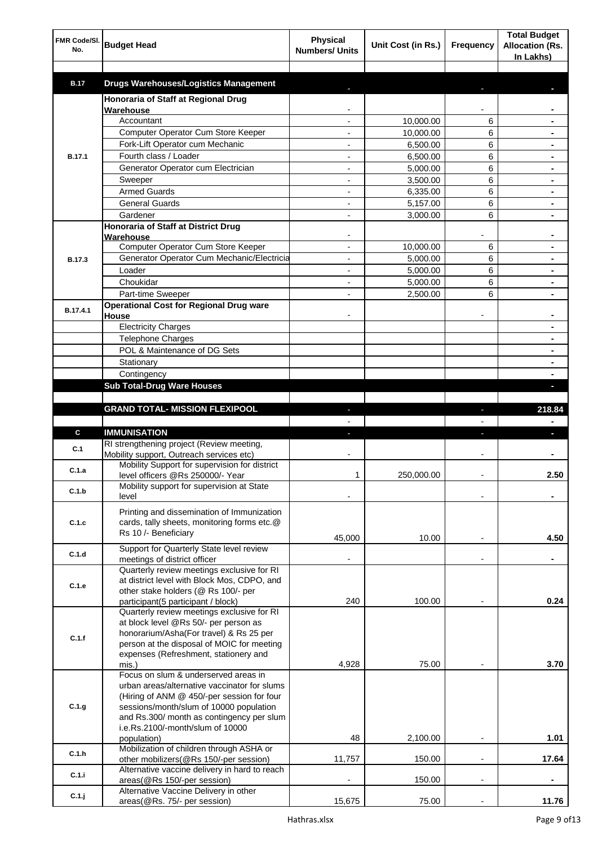| FMR Code/SI.<br>No. | <b>Budget Head</b>                                                                         | <b>Physical</b><br><b>Numbers/ Units</b> | Unit Cost (in Rs.) | Frequency                | <b>Total Budget</b><br><b>Allocation (Rs.</b><br>In Lakhs) |
|---------------------|--------------------------------------------------------------------------------------------|------------------------------------------|--------------------|--------------------------|------------------------------------------------------------|
| <b>B.17</b>         | <b>Drugs Warehouses/Logistics Management</b>                                               |                                          |                    |                          |                                                            |
|                     | Honoraria of Staff at Regional Drug                                                        |                                          |                    |                          |                                                            |
|                     | Warehouse                                                                                  |                                          |                    |                          |                                                            |
|                     | Accountant                                                                                 |                                          | 10,000.00          | 6                        |                                                            |
|                     | Computer Operator Cum Store Keeper                                                         |                                          | 10,000.00          | 6                        |                                                            |
|                     | Fork-Lift Operator cum Mechanic                                                            |                                          | 6,500.00           | 6                        |                                                            |
| <b>B.17.1</b>       | Fourth class / Loader                                                                      |                                          | 6,500.00           | 6                        |                                                            |
|                     | Generator Operator cum Electrician                                                         |                                          | 5,000.00           | 6                        |                                                            |
|                     | Sweeper                                                                                    |                                          | 3,500.00           | 6                        |                                                            |
|                     | <b>Armed Guards</b>                                                                        |                                          | 6,335.00           | 6                        |                                                            |
|                     | <b>General Guards</b>                                                                      |                                          | 5,157.00           | 6                        |                                                            |
|                     | Gardener                                                                                   |                                          | 3,000.00           | 6                        |                                                            |
|                     | Honoraria of Staff at District Drug<br>Warehouse                                           |                                          |                    |                          |                                                            |
|                     | Computer Operator Cum Store Keeper                                                         |                                          | 10.000.00          | 6                        |                                                            |
| <b>B.17.3</b>       | Generator Operator Cum Mechanic/Electricia                                                 |                                          | 5,000.00           | 6                        |                                                            |
|                     | Loader                                                                                     |                                          | 5,000.00           | 6                        |                                                            |
|                     | Choukidar                                                                                  |                                          | 5,000.00           | 6                        |                                                            |
|                     | Part-time Sweeper                                                                          |                                          | 2,500.00           | 6                        |                                                            |
| B.17.4.1            | <b>Operational Cost for Regional Drug ware</b><br>House                                    |                                          |                    |                          |                                                            |
|                     | <b>Electricity Charges</b>                                                                 |                                          |                    |                          | ۰                                                          |
|                     | <b>Telephone Charges</b>                                                                   |                                          |                    |                          | ۰                                                          |
|                     | POL & Maintenance of DG Sets                                                               |                                          |                    |                          | ۰                                                          |
|                     | Stationary                                                                                 |                                          |                    |                          | ۰                                                          |
|                     | Contingency                                                                                |                                          |                    |                          |                                                            |
|                     | <b>Sub Total-Drug Ware Houses</b>                                                          |                                          |                    |                          |                                                            |
|                     | <b>GRAND TOTAL- MISSION FLEXIPOOL</b>                                                      |                                          |                    | ı                        | 218.84                                                     |
|                     |                                                                                            |                                          |                    |                          |                                                            |
| C                   | <b>IMMUNISATION</b>                                                                        |                                          |                    |                          |                                                            |
|                     | RI strengthening project (Review meeting,                                                  |                                          |                    |                          |                                                            |
| C.1                 | Mobility support, Outreach services etc)                                                   |                                          |                    |                          |                                                            |
| C.1.a               | Mobility Support for supervision for district                                              |                                          |                    |                          |                                                            |
|                     | level officers @Rs 250000/- Year                                                           | 1                                        | 250,000.00         |                          | 2.50                                                       |
| C.1.b               | Mobility support for supervision at State<br>level                                         |                                          |                    |                          |                                                            |
|                     |                                                                                            |                                          |                    |                          |                                                            |
| C.1.c               | Printing and dissemination of Immunization<br>cards, tally sheets, monitoring forms etc.@  |                                          |                    |                          |                                                            |
|                     | Rs 10 /- Beneficiary                                                                       |                                          |                    |                          |                                                            |
|                     | Support for Quarterly State level review                                                   | 45,000                                   | 10.00              |                          | 4.50                                                       |
| C.1.d               | meetings of district officer                                                               |                                          |                    | $\blacksquare$           |                                                            |
|                     | Quarterly review meetings exclusive for RI                                                 |                                          |                    |                          |                                                            |
| C.1.e               | at district level with Block Mos, CDPO, and                                                |                                          |                    |                          |                                                            |
|                     | other stake holders (@ Rs 100/- per                                                        |                                          |                    |                          |                                                            |
|                     | participant(5 participant / block)                                                         | 240                                      | 100.00             |                          | 0.24                                                       |
|                     | Quarterly review meetings exclusive for RI<br>at block level @Rs 50/- per person as        |                                          |                    |                          |                                                            |
|                     | honorarium/Asha(For travel) & Rs 25 per                                                    |                                          |                    |                          |                                                            |
| C.1.f               | person at the disposal of MOIC for meeting                                                 |                                          |                    |                          |                                                            |
|                     | expenses (Refreshment, stationery and                                                      |                                          |                    |                          |                                                            |
|                     | mis.)                                                                                      | 4,928                                    | 75.00              |                          | 3.70                                                       |
|                     | Focus on slum & underserved areas in                                                       |                                          |                    |                          |                                                            |
|                     | urban areas/alternative vaccinator for slums<br>(Hiring of ANM @ 450/-per session for four |                                          |                    |                          |                                                            |
| C.1.g               | sessions/month/slum of 10000 population                                                    |                                          |                    |                          |                                                            |
|                     | and Rs.300/ month as contingency per slum                                                  |                                          |                    |                          |                                                            |
|                     | i.e.Rs.2100/-month/slum of 10000                                                           |                                          |                    |                          |                                                            |
|                     | population)                                                                                | 48                                       | 2,100.00           |                          | 1.01                                                       |
| C.1.h               | Mobilization of children through ASHA or                                                   |                                          |                    |                          |                                                            |
|                     | other mobilizers(@Rs 150/-per session)<br>Alternative vaccine delivery in hard to reach    | 11,757                                   | 150.00             | $\overline{a}$           | 17.64                                                      |
| C.1.i               | areas(@Rs 150/-per session)                                                                |                                          | 150.00             | $\overline{\phantom{a}}$ |                                                            |
|                     | Alternative Vaccine Delivery in other                                                      |                                          |                    |                          |                                                            |
| $C.1.$ j            | areas(@Rs. 75/- per session)                                                               | 15,675                                   | 75.00              |                          | 11.76                                                      |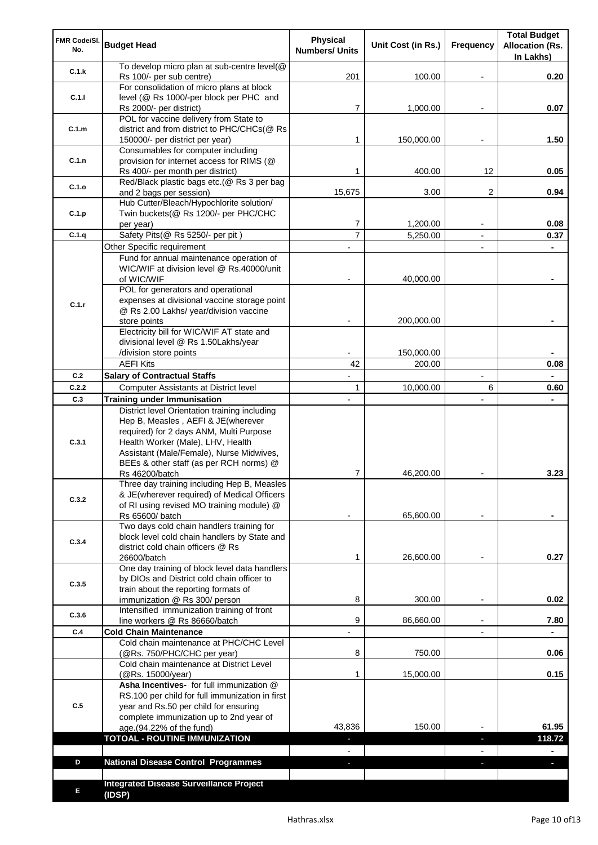| FMR Code/SI.<br>No. | <b>Budget Head</b>                                                                                                                                                                                                                                         | Physical<br><b>Numbers/ Units</b> | Unit Cost (in Rs.)   | Frequency                | <b>Total Budget</b><br><b>Allocation (Rs.</b><br>In Lakhs) |
|---------------------|------------------------------------------------------------------------------------------------------------------------------------------------------------------------------------------------------------------------------------------------------------|-----------------------------------|----------------------|--------------------------|------------------------------------------------------------|
| C.1.k               | To develop micro plan at sub-centre level(@<br>Rs 100/- per sub centre)                                                                                                                                                                                    | 201                               | 100.00               |                          | 0.20                                                       |
| C.1.1               | For consolidation of micro plans at block<br>level (@ Rs 1000/-per block per PHC and                                                                                                                                                                       | 7                                 |                      |                          | 0.07                                                       |
|                     | Rs 2000/- per district)<br>POL for vaccine delivery from State to                                                                                                                                                                                          |                                   | 1,000.00             |                          |                                                            |
| C.1.m               | district and from district to PHC/CHCs(@ Rs<br>150000/- per district per year)                                                                                                                                                                             | 1                                 | 150,000.00           |                          | 1.50                                                       |
| C.1.n               | Consumables for computer including<br>provision for internet access for RIMS (@<br>Rs 400/- per month per district)                                                                                                                                        | 1                                 | 400.00               | 12                       | 0.05                                                       |
| C.1.o               | Red/Black plastic bags etc.(@ Rs 3 per bag<br>and 2 bags per session)                                                                                                                                                                                      | 15,675                            | 3.00                 | 2                        | 0.94                                                       |
| C.1.p               | Hub Cutter/Bleach/Hypochlorite solution/<br>Twin buckets(@ Rs 1200/- per PHC/CHC                                                                                                                                                                           |                                   |                      |                          |                                                            |
| C.1.q               | per year)<br>Safety Pits(@ Rs 5250/- per pit)                                                                                                                                                                                                              | 7<br>$\overline{7}$               | 1,200.00<br>5,250.00 |                          | 0.08<br>0.37                                               |
|                     | Other Specific requirement                                                                                                                                                                                                                                 |                                   |                      | $\blacksquare$           |                                                            |
|                     | Fund for annual maintenance operation of                                                                                                                                                                                                                   |                                   |                      |                          |                                                            |
|                     | WIC/WIF at division level @ Rs.40000/unit                                                                                                                                                                                                                  |                                   |                      |                          |                                                            |
|                     | of WIC/WIF                                                                                                                                                                                                                                                 |                                   | 40,000.00            |                          |                                                            |
|                     | POL for generators and operational<br>expenses at divisional vaccine storage point                                                                                                                                                                         |                                   |                      |                          |                                                            |
| C.1.r               | @ Rs 2.00 Lakhs/ year/division vaccine                                                                                                                                                                                                                     |                                   |                      |                          |                                                            |
|                     | store points                                                                                                                                                                                                                                               |                                   | 200,000.00           |                          |                                                            |
|                     | Electricity bill for WIC/WIF AT state and                                                                                                                                                                                                                  |                                   |                      |                          |                                                            |
|                     | divisional level @ Rs 1.50Lakhs/year                                                                                                                                                                                                                       |                                   |                      |                          |                                                            |
|                     | /division store points<br><b>AEFI Kits</b>                                                                                                                                                                                                                 | 42                                | 150,000.00<br>200.00 |                          | 0.08                                                       |
| C.2                 | <b>Salary of Contractual Staffs</b>                                                                                                                                                                                                                        |                                   |                      | $\overline{\phantom{a}}$ |                                                            |
| C.2.2               | Computer Assistants at District level                                                                                                                                                                                                                      | $\mathbf{1}$                      | 10,000.00            | 6                        | 0.60                                                       |
| C.3                 | <b>Training under Immunisation</b>                                                                                                                                                                                                                         | $\overline{a}$                    |                      |                          |                                                            |
| C.3.1               | District level Orientation training including<br>Hep B, Measles, AEFI & JE(wherever<br>required) for 2 days ANM, Multi Purpose<br>Health Worker (Male), LHV, Health<br>Assistant (Male/Female), Nurse Midwives,<br>BEEs & other staff (as per RCH norms) @ |                                   |                      |                          |                                                            |
|                     | Rs 46200/batch                                                                                                                                                                                                                                             | 7                                 | 46,200.00            |                          | 3.23                                                       |
| C.3.2               | Three day training including Hep B, Measles<br>& JE(wherever required) of Medical Officers<br>of RI using revised MO training module) @<br>Rs 65600/ batch                                                                                                 |                                   | 65,600.00            |                          |                                                            |
|                     | Two days cold chain handlers training for                                                                                                                                                                                                                  |                                   |                      |                          |                                                            |
| C.3.4               | block level cold chain handlers by State and<br>district cold chain officers @ Rs<br>26600/batch                                                                                                                                                           | 1                                 | 26,600.00            |                          | 0.27                                                       |
|                     | One day training of block level data handlers                                                                                                                                                                                                              |                                   |                      |                          |                                                            |
| C.3.5               | by DIOs and District cold chain officer to                                                                                                                                                                                                                 |                                   |                      |                          |                                                            |
|                     | train about the reporting formats of<br>immunization @ Rs 300/ person                                                                                                                                                                                      | 8                                 | 300.00               | $\overline{\phantom{a}}$ | 0.02                                                       |
|                     | Intensified immunization training of front                                                                                                                                                                                                                 |                                   |                      |                          |                                                            |
| C.3.6               | line workers @ Rs 86660/batch                                                                                                                                                                                                                              | 9                                 | 86,660.00            | $\blacksquare$           | 7.80                                                       |
| C.4                 | <b>Cold Chain Maintenance</b>                                                                                                                                                                                                                              |                                   |                      |                          |                                                            |
|                     | Cold chain maintenance at PHC/CHC Level<br>(@Rs. 750/PHC/CHC per year)                                                                                                                                                                                     | 8                                 | 750.00               |                          | 0.06                                                       |
|                     | Cold chain maintenance at District Level<br>(@Rs. 15000/year)                                                                                                                                                                                              | 1                                 | 15,000.00            |                          | 0.15                                                       |
| C.5                 | Asha Incentives- for full immunization @<br>RS.100 per child for full immunization in first<br>year and Rs.50 per child for ensuring<br>complete immunization up to 2nd year of                                                                            |                                   |                      |                          |                                                            |
|                     | age.(94.22% of the fund)<br><b>TOTOAL - ROUTINE IMMUNIZATION</b>                                                                                                                                                                                           | 43,836                            | 150.00               |                          | 61.95<br>118.72                                            |
|                     |                                                                                                                                                                                                                                                            |                                   |                      |                          |                                                            |
| D                   | <b>National Disease Control Programmes</b>                                                                                                                                                                                                                 |                                   |                      |                          |                                                            |
|                     |                                                                                                                                                                                                                                                            |                                   |                      |                          |                                                            |
| Е                   | <b>Integrated Disease Surveillance Project</b><br>(IDSP)                                                                                                                                                                                                   |                                   |                      |                          |                                                            |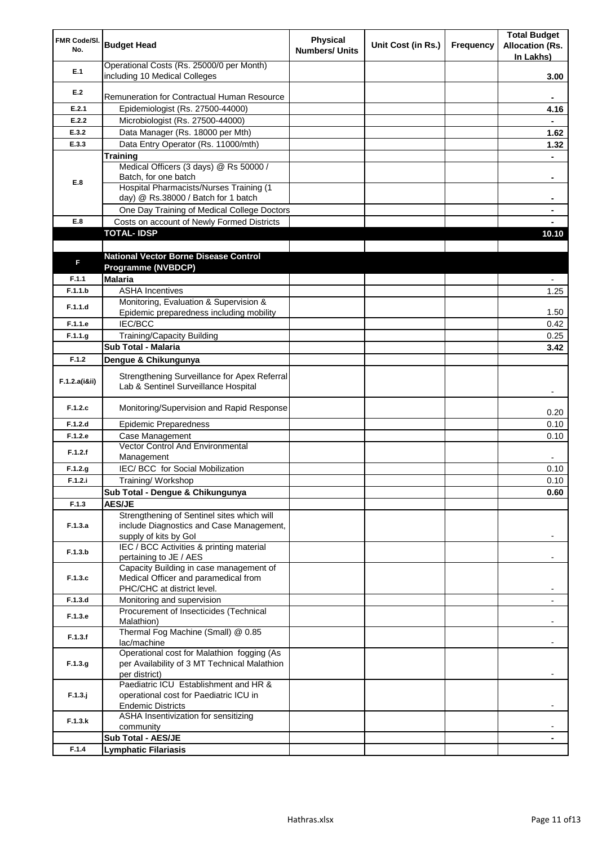| FMR Code/SI.<br>No. | <b>Budget Head</b>                                                                   | <b>Physical</b><br><b>Numbers/ Units</b> | Unit Cost (in Rs.) | Frequency | <b>Total Budget</b><br><b>Allocation (Rs.</b><br>In Lakhs) |
|---------------------|--------------------------------------------------------------------------------------|------------------------------------------|--------------------|-----------|------------------------------------------------------------|
| E.1                 | Operational Costs (Rs. 25000/0 per Month)<br>including 10 Medical Colleges           |                                          |                    |           | 3.00                                                       |
| E.2                 |                                                                                      |                                          |                    |           |                                                            |
|                     | Remuneration for Contractual Human Resource                                          |                                          |                    |           |                                                            |
| E.2.1               | Epidemiologist (Rs. 27500-44000)                                                     |                                          |                    |           | 4.16                                                       |
| E.2.2               | Microbiologist (Rs. 27500-44000)                                                     |                                          |                    |           |                                                            |
| E.3.2               | Data Manager (Rs. 18000 per Mth)                                                     |                                          |                    |           | 1.62                                                       |
| E.3.3               | Data Entry Operator (Rs. 11000/mth)                                                  |                                          |                    |           | 1.32                                                       |
|                     | <b>Training</b><br>Medical Officers (3 days) @ Rs 50000 /                            |                                          |                    |           |                                                            |
|                     | Batch, for one batch                                                                 |                                          |                    |           | ۰                                                          |
| E.8                 | Hospital Pharmacists/Nurses Training (1                                              |                                          |                    |           |                                                            |
|                     | day) @ Rs.38000 / Batch for 1 batch                                                  |                                          |                    |           |                                                            |
|                     | One Day Training of Medical College Doctors                                          |                                          |                    |           |                                                            |
| E.8                 | Costs on account of Newly Formed Districts                                           |                                          |                    |           |                                                            |
|                     | <b>TOTAL-IDSP</b>                                                                    |                                          |                    |           | 10.10                                                      |
|                     |                                                                                      |                                          |                    |           |                                                            |
| F                   | <b>National Vector Borne Disease Control</b>                                         |                                          |                    |           |                                                            |
|                     | Programme (NVBDCP)                                                                   |                                          |                    |           |                                                            |
| F.1.1               | <b>Malaria</b>                                                                       |                                          |                    |           |                                                            |
| F.1.1.b             | <b>ASHA Incentives</b>                                                               |                                          |                    |           | 1.25                                                       |
| F.1.1.d             | Monitoring, Evaluation & Supervision &                                               |                                          |                    |           |                                                            |
| F.1.1.e             | Epidemic preparedness including mobility<br><b>IEC/BCC</b>                           |                                          |                    |           | 1.50                                                       |
|                     |                                                                                      |                                          |                    |           | 0.42                                                       |
| F.1.1.g             | <b>Training/Capacity Building</b><br>Sub Total - Malaria                             |                                          |                    |           | 0.25<br>3.42                                               |
| F.1.2               |                                                                                      |                                          |                    |           |                                                            |
|                     | Dengue & Chikungunya                                                                 |                                          |                    |           |                                                            |
| F.1.2.a(iⅈ)         | Strengthening Surveillance for Apex Referral<br>Lab & Sentinel Surveillance Hospital |                                          |                    |           |                                                            |
| F.1.2.c             | Monitoring/Supervision and Rapid Response                                            |                                          |                    |           | 0.20                                                       |
| F.1.2.d             | <b>Epidemic Preparedness</b>                                                         |                                          |                    |           | 0.10                                                       |
| F.1.2.e             | Case Management                                                                      |                                          |                    |           | 0.10                                                       |
| F.1.2.f             | <b>Vector Control And Environmental</b><br>Management                                |                                          |                    |           |                                                            |
| F.1.2.g             | IEC/ BCC for Social Mobilization                                                     |                                          |                    |           | 0.10                                                       |
| F.1.2.i             | Training/Workshop                                                                    |                                          |                    |           | 0.10                                                       |
|                     | Sub Total - Dengue & Chikungunya                                                     |                                          |                    |           | 0.60                                                       |
| F.1.3               | <b>AES/JE</b>                                                                        |                                          |                    |           |                                                            |
|                     | Strengthening of Sentinel sites which will                                           |                                          |                    |           |                                                            |
| F.1.3.a             | include Diagnostics and Case Management,<br>supply of kits by Gol                    |                                          |                    |           |                                                            |
|                     | IEC / BCC Activities & printing material                                             |                                          |                    |           |                                                            |
| F.1.3.b             | pertaining to JE / AES                                                               |                                          |                    |           |                                                            |
|                     | Capacity Building in case management of                                              |                                          |                    |           |                                                            |
| F.1.3.c             | Medical Officer and paramedical from                                                 |                                          |                    |           |                                                            |
|                     | PHC/CHC at district level.                                                           |                                          |                    |           |                                                            |
| F.1.3.d             | Monitoring and supervision                                                           |                                          |                    |           |                                                            |
| F.1.3.e             | Procurement of Insecticides (Technical<br>Malathion)                                 |                                          |                    |           |                                                            |
| F.1.3.f             | Thermal Fog Machine (Small) @ 0.85                                                   |                                          |                    |           |                                                            |
|                     | lac/machine                                                                          |                                          |                    |           |                                                            |
|                     | Operational cost for Malathion fogging (As                                           |                                          |                    |           |                                                            |
| F.1.3.g             | per Availability of 3 MT Technical Malathion                                         |                                          |                    |           |                                                            |
|                     | per district)<br>Paediatric ICU Establishment and HR &                               |                                          |                    |           |                                                            |
| $F.1.3.$ j          | operational cost for Paediatric ICU in                                               |                                          |                    |           |                                                            |
|                     | <b>Endemic Districts</b>                                                             |                                          |                    |           |                                                            |
|                     | ASHA Insentivization for sensitizing                                                 |                                          |                    |           |                                                            |
| F.1.3.k             | community                                                                            |                                          |                    |           |                                                            |
|                     | Sub Total - AES/JE                                                                   |                                          |                    |           |                                                            |
| F.1.4               | <b>Lymphatic Filariasis</b>                                                          |                                          |                    |           |                                                            |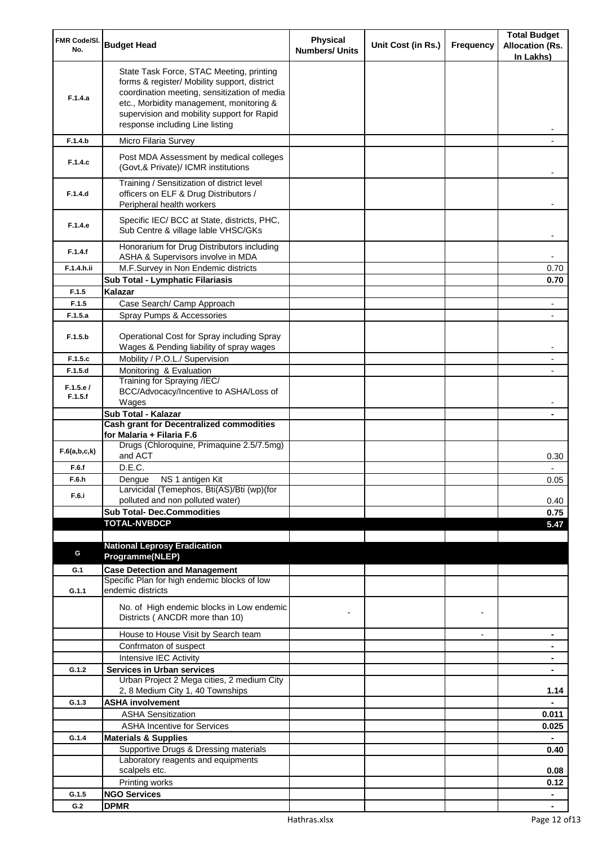| FMR Code/SI.<br>No. | <b>Budget Head</b>                                                                                                                                                                                                                                                    | Physical<br><b>Numbers/ Units</b> | Unit Cost (in Rs.) | Frequency      | <b>Total Budget</b><br><b>Allocation (Rs.</b><br>In Lakhs) |
|---------------------|-----------------------------------------------------------------------------------------------------------------------------------------------------------------------------------------------------------------------------------------------------------------------|-----------------------------------|--------------------|----------------|------------------------------------------------------------|
| F.1.4.a             | State Task Force, STAC Meeting, printing<br>forms & register/ Mobility support, district<br>coordination meeting, sensitization of media<br>etc., Morbidity management, monitoring &<br>supervision and mobility support for Rapid<br>response including Line listing |                                   |                    |                |                                                            |
| F.1.4.b             | Micro Filaria Survey                                                                                                                                                                                                                                                  |                                   |                    |                |                                                            |
| F.1.4.c             | Post MDA Assessment by medical colleges<br>(Govt, & Private)/ ICMR institutions                                                                                                                                                                                       |                                   |                    |                |                                                            |
| F.1.4.d             | Training / Sensitization of district level<br>officers on ELF & Drug Distributors /<br>Peripheral health workers                                                                                                                                                      |                                   |                    |                |                                                            |
| F.1.4.e             | Specific IEC/ BCC at State, districts, PHC,<br>Sub Centre & village lable VHSC/GKs                                                                                                                                                                                    |                                   |                    |                |                                                            |
| F.1.4.f             | Honorarium for Drug Distributors including<br>ASHA & Supervisors involve in MDA                                                                                                                                                                                       |                                   |                    |                |                                                            |
| F.1.4.h.ii          | M.F.Survey in Non Endemic districts                                                                                                                                                                                                                                   |                                   |                    |                | 0.70                                                       |
| F.1.5               | Sub Total - Lymphatic Filariasis<br>Kalazar                                                                                                                                                                                                                           |                                   |                    |                | 0.70                                                       |
| F.1.5               | Case Search/ Camp Approach                                                                                                                                                                                                                                            |                                   |                    |                |                                                            |
| F.1.5.a             | Spray Pumps & Accessories                                                                                                                                                                                                                                             |                                   |                    |                |                                                            |
| F.1.5.b             | Operational Cost for Spray including Spray<br>Wages & Pending liability of spray wages                                                                                                                                                                                |                                   |                    |                |                                                            |
| F.1.5.c             | Mobility / P.O.L./ Supervision                                                                                                                                                                                                                                        |                                   |                    |                |                                                            |
| F.1.5.d             | Monitoring & Evaluation                                                                                                                                                                                                                                               |                                   |                    |                |                                                            |
| F.1.5.e/<br>F.1.5.f | Training for Spraying /IEC/<br>BCC/Advocacy/Incentive to ASHA/Loss of<br>Wages                                                                                                                                                                                        |                                   |                    |                |                                                            |
|                     | Sub Total - Kalazar                                                                                                                                                                                                                                                   |                                   |                    |                |                                                            |
|                     | <b>Cash grant for Decentralized commodities</b>                                                                                                                                                                                                                       |                                   |                    |                |                                                            |
| F.6(a,b,c,k)        | for Malaria + Filaria F.6<br>Drugs (Chloroquine, Primaquine 2.5/7.5mg)<br>and ACT                                                                                                                                                                                     |                                   |                    |                | 0.30                                                       |
| F.6.f               | D.E.C.                                                                                                                                                                                                                                                                |                                   |                    |                |                                                            |
| F.6.h               | Dengue NS 1 antigen Kit                                                                                                                                                                                                                                               |                                   |                    |                | 0.05                                                       |
| F.6.i               | Larvicidal (Temephos, Bti(AS)/Bti (wp)(for                                                                                                                                                                                                                            |                                   |                    |                |                                                            |
|                     | polluted and non polluted water)                                                                                                                                                                                                                                      |                                   |                    |                | 0.40                                                       |
|                     | <b>Sub Total- Dec.Commodities</b><br><b>TOTAL-NVBDCP</b>                                                                                                                                                                                                              |                                   |                    |                | 0.75<br>5.47                                               |
|                     |                                                                                                                                                                                                                                                                       |                                   |                    |                |                                                            |
|                     | <b>National Leprosy Eradication</b>                                                                                                                                                                                                                                   |                                   |                    |                |                                                            |
| G                   | Programme(NLEP)                                                                                                                                                                                                                                                       |                                   |                    |                |                                                            |
| G.1                 | <b>Case Detection and Management</b>                                                                                                                                                                                                                                  |                                   |                    |                |                                                            |
| G.1.1               | Specific Plan for high endemic blocks of low<br>endemic districts                                                                                                                                                                                                     |                                   |                    |                |                                                            |
|                     | No. of High endemic blocks in Low endemic<br>Districts (ANCDR more than 10)                                                                                                                                                                                           |                                   |                    |                |                                                            |
|                     | House to House Visit by Search team                                                                                                                                                                                                                                   |                                   |                    | $\blacksquare$ | ۰                                                          |
|                     | Confrmaton of suspect                                                                                                                                                                                                                                                 |                                   |                    |                | ۰                                                          |
|                     | Intensive IEC Activity                                                                                                                                                                                                                                                |                                   |                    |                | ۰                                                          |
| G.1.2               | <b>Services in Urban services</b><br>Urban Project 2 Mega cities, 2 medium City                                                                                                                                                                                       |                                   |                    |                | $\blacksquare$                                             |
|                     | 2, 8 Medium City 1, 40 Townships                                                                                                                                                                                                                                      |                                   |                    |                | 1.14                                                       |
| G.1.3               | <b>ASHA involvement</b>                                                                                                                                                                                                                                               |                                   |                    |                |                                                            |
|                     | <b>ASHA Sensitization</b>                                                                                                                                                                                                                                             |                                   |                    |                | 0.011                                                      |
|                     | <b>ASHA Incentive for Services</b>                                                                                                                                                                                                                                    |                                   |                    |                | 0.025                                                      |
| G.1.4               | <b>Materials &amp; Supplies</b><br>Supportive Drugs & Dressing materials                                                                                                                                                                                              |                                   |                    |                | 0.40                                                       |
|                     | Laboratory reagents and equipments                                                                                                                                                                                                                                    |                                   |                    |                |                                                            |
|                     | scalpels etc.                                                                                                                                                                                                                                                         |                                   |                    |                | 0.08                                                       |
|                     | Printing works                                                                                                                                                                                                                                                        |                                   |                    |                | 0.12                                                       |
| G.1.5               | <b>NGO Services</b>                                                                                                                                                                                                                                                   |                                   |                    |                | $\blacksquare$                                             |
| G.2                 | <b>DPMR</b>                                                                                                                                                                                                                                                           |                                   |                    |                |                                                            |